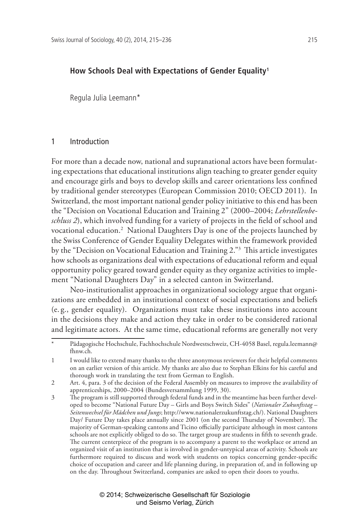# **How Schools Deal with Expectations of Gender Equality1**

Regula Julia Leemann\*

#### 1 Introduction

For more than a decade now, national and supranational actors have been formulating expectations that educational institutions align teaching to greater gender equity and encourage girls and boys to develop skills and career orientations less confined by traditional gender stereotypes (European Commission 2010; OECD 2011). In Switzerland, the most important national gender policy initiative to this end has been the "Decision on Vocational Education and Training 2" (2000–2004; *Lehrstellenbeschluss 2*), which involved funding for a variety of projects in the field of school and vocational education.2 National Daughters Day is one of the projects launched by the Swiss Conference of Gender Equality Delegates within the framework provided by the "Decision on Vocational Education and Training 2."3 This article investigates how schools as organizations deal with expectations of educational reform and equal opportunity policy geared toward gender equity as they organize activities to implement "National Daughters Day" in a selected canton in Switzerland.

Neo-institutionalist approaches in organizational sociology argue that organizations are embedded in an institutional context of social expectations and beliefs (e. g., gender equality). Organizations must take these institutions into account in the decisions they make and action they take in order to be considered rational and legitimate actors. At the same time, educational reforms are generally not very

Pädagogische Hochschule, Fachhochschule Nordwestschweiz, CH-4058 Basel, regula.leemann@ fhnw.ch.

<sup>1</sup> I would like to extend many thanks to the three anonymous reviewers for their helpful comments on an earlier version of this article. My thanks are also due to Stephan Elkins for his careful and thorough work in translating the text from German to English.

<sup>2</sup> Art. 4, para. 3 of the decision of the Federal Assembly on measures to improve the availability of apprenticeships, 2000–2004 (Bundesversammlung 1999, 30).

<sup>3</sup> The program is still supported through federal funds and in the meantime has been further developed to become "National Future Day – Girls and Boys Switch Sides" (*Nationaler Zukunftstag – Seitenwechsel für Mädchen und Jungs*; http://www.nationalerzukunftstag.ch/). National Daughters Day/ Future Day takes place annually since 2001 (on the second Thursday of November). The majority of German-speaking cantons and Ticino officially participate although in most cantons schools are not explicitly obliged to do so. The target group are students in fifth to seventh grade. The current centerpiece of the program is to accompany a parent to the workplace or attend an organized visit of an institution that is involved in gender-untypical areas of activity. Schools are furthermore required to discuss and work with students on topics concerning gender-specific choice of occupation and career and life planning during, in preparation of, and in following up on the day. Throughout Switzerland, companies are asked to open their doors to youths.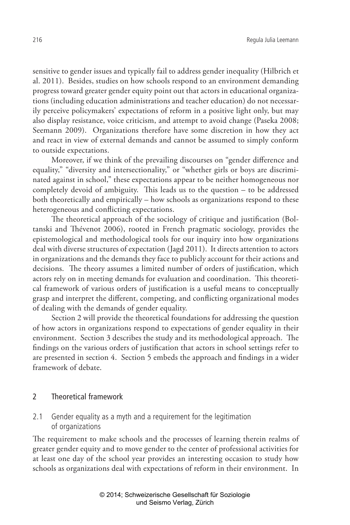sensitive to gender issues and typically fail to address gender inequality (Hilbrich et al. 2011). Besides, studies on how schools respond to an environment demanding progress toward greater gender equity point out that actors in educational organizations (including education administrations and teacher education) do not necessarily perceive policymakers' expectations of reform in a positive light only, but may also display resistance, voice criticism, and attempt to avoid change (Paseka 2008; Seemann 2009). Organizations therefore have some discretion in how they act and react in view of external demands and cannot be assumed to simply conform to outside expectations.

Moreover, if we think of the prevailing discourses on "gender difference and equality," "diversity and intersectionality," or "whether girls or boys are discriminated against in school," these expectations appear to be neither homogeneous nor completely devoid of ambiguity. This leads us to the question – to be addressed both theoretically and empirically – how schools as organizations respond to these heterogeneous and conflicting expectations.

The theoretical approach of the sociology of critique and justification (Boltanski and Thévenot 2006), rooted in French pragmatic sociology, provides the epistemological and methodological tools for our inquiry into how organizations deal with diverse structures of expectation (Jagd 2011). It directs attention to actors in organizations and the demands they face to publicly account for their actions and decisions. The theory assumes a limited number of orders of justification, which actors rely on in meeting demands for evaluation and coordination. This theoretical framework of various orders of justification is a useful means to conceptually grasp and interpret the different, competing, and conflicting organizational modes of dealing with the demands of gender equality.

Section 2 will provide the theoretical foundations for addressing the question of how actors in organizations respond to expectations of gender equality in their environment. Section 3 describes the study and its methodological approach. The findings on the various orders of justification that actors in school settings refer to are presented in section 4. Section 5 embeds the approach and findings in a wider framework of debate.

### 2 Theoretical framework

2.1 Gender equality as a myth and a requirement for the legitimation of organizations

The requirement to make schools and the processes of learning therein realms of greater gender equity and to move gender to the center of professional activities for at least one day of the school year provides an interesting occasion to study how schools as organizations deal with expectations of reform in their environment. In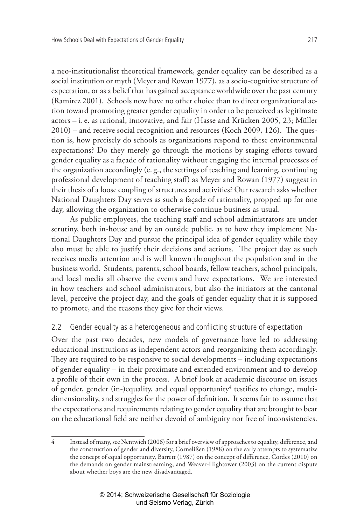a neo-institutionalist theoretical framework, gender equality can be described as a social institution or myth (Meyer and Rowan 1977), as a socio-cognitive structure of expectation, or as a belief that has gained acceptance worldwide over the past century (Ramirez 2001). Schools now have no other choice than to direct organizational action toward promoting greater gender equality in order to be perceived as legitimate actors – i.e. as rational, innovative, and fair (Hasse and Krücken 2005, 23; Müller 2010) – and receive social recognition and resources (Koch 2009, 126). The question is, how precisely do schools as organizations respond to these environmental expectations? Do they merely go through the motions by staging efforts toward gender equality as a façade of rationality without engaging the internal processes of the organization accordingly (e. g., the settings of teaching and learning, continuing professional development of teaching staff) as Meyer and Rowan (1977) suggest in their thesis of a loose coupling of structures and activities? Our research asks whether National Daughters Day serves as such a façade of rationality, propped up for one day, allowing the organization to otherwise continue business as usual.

As public employees, the teaching staff and school administrators are under scrutiny, both in-house and by an outside public, as to how they implement National Daughters Day and pursue the principal idea of gender equality while they also must be able to justify their decisions and actions. The project day as such receives media attention and is well known throughout the population and in the business world. Students, parents, school boards, fellow teachers, school principals, and local media all observe the events and have expectations. We are interested in how teachers and school administrators, but also the initiators at the cantonal level, perceive the project day, and the goals of gender equality that it is supposed to promote, and the reasons they give for their views.

## 2.2 Gender equality as a heterogeneous and conflicting structure of expectation

Over the past two decades, new models of governance have led to addressing educational institutions as independent actors and reorganizing them accordingly. They are required to be responsive to social developments – including expectations of gender equality – in their proximate and extended environment and to develop a profile of their own in the process. A brief look at academic discourse on issues of gender, gender (in-)equality, and equal opportunity<sup>4</sup> testifies to change, multidimensionality, and struggles for the power of definition. It seems fair to assume that the expectations and requirements relating to gender equality that are brought to bear on the educational field are neither devoid of ambiguity nor free of inconsistencies.

<sup>4</sup> Instead of many, see Nentwich (2006) for a brief overview of approaches to equality, difference, and the construction of gender and diversity, Cornelißen (1988) on the early attempts to systematize the concept of equal opportunity, Barrett (1987) on the concept of difference, Cordes (2010) on the demands on gender mainstreaming, and Weaver-Hightower (2003) on the current dispute about whether boys are the new disadvantaged.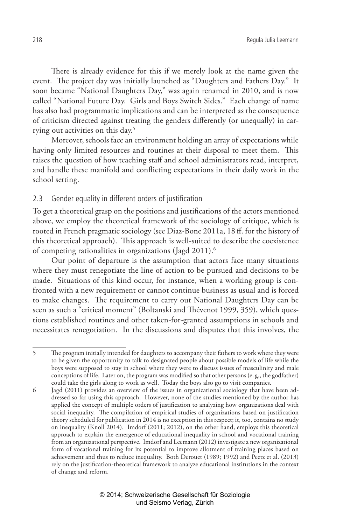There is already evidence for this if we merely look at the name given the event. The project day was initially launched as "Daughters and Fathers Day." It soon became "National Daughters Day," was again renamed in 2010, and is now called "National Future Day. Girls and Boys Switch Sides." Each change of name has also had programmatic implications and can be interpreted as the consequence of criticism directed against treating the genders differently (or unequally) in carrying out activities on this day.5

Moreover, schools face an environment holding an array of expectations while having only limited resources and routines at their disposal to meet them. This raises the question of how teaching staff and school administrators read, interpret, and handle these manifold and conflicting expectations in their daily work in the school setting.

## 2.3 Gender equality in different orders of justification

To get a theoretical grasp on the positions and justifications of the actors mentioned above, we employ the theoretical framework of the sociology of critique, which is rooted in French pragmatic sociology (see Diaz-Bone 2011a, 18 ff. for the history of this theoretical approach). This approach is well-suited to describe the coexistence of competing rationalities in organizations (Jagd 2011).6

Our point of departure is the assumption that actors face many situations where they must renegotiate the line of action to be pursued and decisions to be made. Situations of this kind occur, for instance, when a working group is confronted with a new requirement or cannot continue business as usual and is forced to make changes. The requirement to carry out National Daughters Day can be seen as such a "critical moment" (Boltanski and Thévenot 1999, 359), which questions established routines and other taken-for-granted assumptions in schools and necessitates renegotiation. In the discussions and disputes that this involves, the

<sup>5</sup> The program initially intended for daughters to accompany their fathers to work where they were to be given the opportunity to talk to designated people about possible models of life while the boys were supposed to stay in school where they were to discuss issues of masculinity and male conceptions of life. Later on, the program was modified so that other persons (e. g., the godfather) could take the girls along to work as well. Today the boys also go to visit companies.

<sup>6</sup> Jagd (2011) provides an overview of the issues in organizational sociology that have been addressed so far using this approach. However, none of the studies mentioned by the author has applied the concept of multiple orders of justification to analyzing how organizations deal with social inequality. The compilation of empirical studies of organizations based on justification theory scheduled for publication in 2014 is no exception in this respect; it, too, contains no study on inequality (Knoll 2014). Imdorf (2011; 2012), on the other hand, employs this theoretical approach to explain the emergence of educational inequality in school and vocational training from an organizational perspective. Imdorf and Leemann (2012) investigate a new organizational form of vocational training for its potential to improve allotment of training places based on achievement and thus to reduce inequality. Both Derouet (1989; 1992) and Peetz et al. (2013) rely on the justification-theoretical framework to analyze educational institutions in the context of change and reform.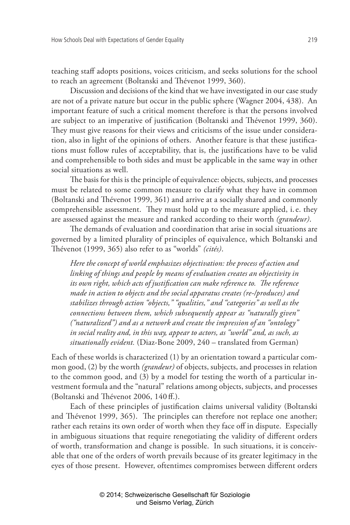teaching staff adopts positions, voices criticism, and seeks solutions for the school to reach an agreement (Boltanski and Thévenot 1999, 360).

Discussion and decisions of the kind that we have investigated in our case study are not of a private nature but occur in the public sphere (Wagner 2004, 438). An important feature of such a critical moment therefore is that the persons involved are subject to an imperative of justification (Boltanski and Thévenot 1999, 360). They must give reasons for their views and criticisms of the issue under consideration, also in light of the opinions of others. Another feature is that these justifications must follow rules of acceptability, that is, the justifications have to be valid and comprehensible to both sides and must be applicable in the same way in other social situations as well.

The basis for this is the principle of equivalence: objects, subjects, and processes must be related to some common measure to clarify what they have in common (Boltanski and Thévenot 1999, 361) and arrive at a socially shared and commonly comprehensible assessment. They must hold up to the measure applied, i.e. they are assessed against the measure and ranked according to their worth *(grandeur)*.

The demands of evaluation and coordination that arise in social situations are governed by a limited plurality of principles of equivalence, which Boltanski and Thévenot (1999, 365) also refer to as "worlds" *(cités)*.

*Here the concept of world emphasizes objectivation: the process of action and linking of things and people by means of evaluation creates an objectivity in its own right, which acts of justification can make reference to. The reference made in action to objects and the social apparatus creates (re-/produces) and stabilizes through action "objects," "qualities," and "categories" as well as the connections between them, which subsequently appear as "naturally given" ("naturalized") and as a network and create the impression of an "ontology" in social reality and, in this way, appear to actors, as "world" and, as such, as situationally evident.* (Diaz-Bone 2009, 240 – translated from German)

Each of these worlds is characterized (1) by an orientation toward a particular common good, (2) by the worth *(grandeur)* of objects, subjects, and processes in relation to the common good, and (3) by a model for testing the worth of a particular investment formula and the "natural" relations among objects, subjects, and processes (Boltanski and Thévenot 2006, 140 ff.).

Each of these principles of justification claims universal validity (Boltanski and Thévenot 1999, 365). The principles can therefore not replace one another; rather each retains its own order of worth when they face off in dispute. Especially in ambiguous situations that require renegotiating the validity of different orders of worth, transformation and change is possible. In such situations, it is conceivable that one of the orders of worth prevails because of its greater legitimacy in the eyes of those present. However, oftentimes compromises between different orders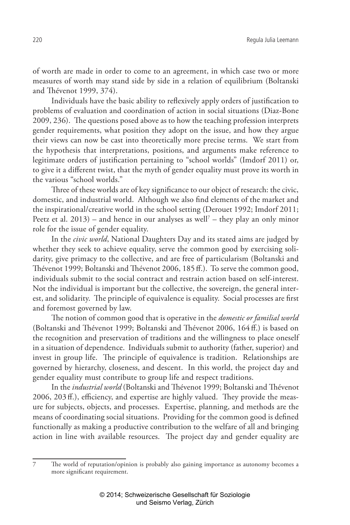of worth are made in order to come to an agreement, in which case two or more measures of worth may stand side by side in a relation of equilibrium (Boltanski and Thévenot 1999, 374).

Individuals have the basic ability to reflexively apply orders of justification to problems of evaluation and coordination of action in social situations (Diaz-Bone 2009, 236). The questions posed above as to how the teaching profession interprets gender requirements, what position they adopt on the issue, and how they argue their views can now be cast into theoretically more precise terms. We start from the hypothesis that interpretations, positions, and arguments make reference to legitimate orders of justification pertaining to "school worlds" (Imdorf 2011) or, to give it a different twist, that the myth of gender equality must prove its worth in the various "school worlds."

Three of these worlds are of key significance to our object of research: the civic, domestic, and industrial world. Although we also find elements of the market and the inspirational/creative world in the school setting (Derouet 1992; Imdorf 2011; Peetz et al.  $2013$ ) – and hence in our analyses as well<sup>7</sup> – they play an only minor role for the issue of gender equality.

In the *civic world*, National Daughters Day and its stated aims are judged by whether they seek to achieve equality, serve the common good by exercising solidarity, give primacy to the collective, and are free of particularism (Boltanski and Thévenot 1999; Boltanski and Thévenot 2006, 185 ff.). To serve the common good, individuals submit to the social contract and restrain action based on self-interest. Not the individual is important but the collective, the sovereign, the general interest, and solidarity. The principle of equivalence is equality. Social processes are first and foremost governed by law.

The notion of common good that is operative in the *domestic or familial world* (Boltanski and Thévenot 1999; Boltanski and Thévenot 2006, 164 ff.) is based on the recognition and preservation of traditions and the willingness to place oneself in a situation of dependence. Individuals submit to authority (father, superior) and invest in group life. The principle of equivalence is tradition. Relationships are governed by hierarchy, closeness, and descent. In this world, the project day and gender equality must contribute to group life and respect traditions.

In the *industrial world* (Boltanski and Thévenot 1999; Boltanski and Thévenot 2006, 203 ff.), efficiency, and expertise are highly valued. They provide the measure for subjects, objects, and processes. Expertise, planning, and methods are the means of coordinating social situations. Providing for the common good is defined functionally as making a productive contribution to the welfare of all and bringing action in line with available resources. The project day and gender equality are

<sup>7</sup> The world of reputation/opinion is probably also gaining importance as autonomy becomes a more significant requirement.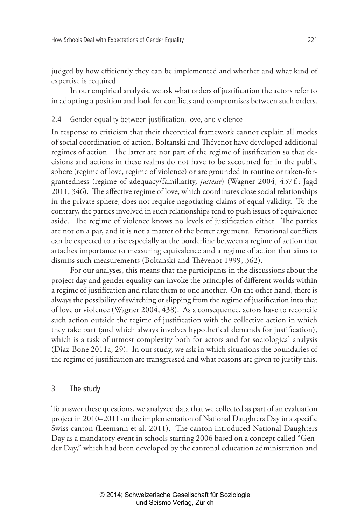judged by how efficiently they can be implemented and whether and what kind of expertise is required.

In our empirical analysis, we ask what orders of justification the actors refer to in adopting a position and look for conflicts and compromises between such orders.

## 2.4 Gender equality between justification, love, and violence

In response to criticism that their theoretical framework cannot explain all modes of social coordination of action, Boltanski and Thévenot have developed additional regimes of action. The latter are not part of the regime of justification so that decisions and actions in these realms do not have to be accounted for in the public sphere (regime of love, regime of violence) or are grounded in routine or taken-forgrantedness (regime of adequacy/familiarity, *justesse*) (Wagner 2004, 437 f.; Jagd 2011, 346). The affective regime of love, which coordinates close social relationships in the private sphere, does not require negotiating claims of equal validity. To the contrary, the parties involved in such relationships tend to push issues of equivalence aside. The regime of violence knows no levels of justification either. The parties are not on a par, and it is not a matter of the better argument. Emotional conflicts can be expected to arise especially at the borderline between a regime of action that attaches importance to measuring equivalence and a regime of action that aims to dismiss such measurements (Boltanski and Thévenot 1999, 362).

For our analyses, this means that the participants in the discussions about the project day and gender equality can invoke the principles of different worlds within a regime of justification and relate them to one another. On the other hand, there is always the possibility of switching or slipping from the regime of justification into that of love or violence (Wagner 2004, 438). As a consequence, actors have to reconcile such action outside the regime of justification with the collective action in which they take part (and which always involves hypothetical demands for justification), which is a task of utmost complexity both for actors and for sociological analysis (Diaz-Bone 2011a, 29). In our study, we ask in which situations the boundaries of the regime of justification are transgressed and what reasons are given to justify this.

## 3 The study

To answer these questions, we analyzed data that we collected as part of an evaluation project in 2010–2011 on the implementation of National Daughters Day in a specific Swiss canton (Leemann et al. 2011). The canton introduced National Daughters Day as a mandatory event in schools starting 2006 based on a concept called "Gender Day," which had been developed by the cantonal education administration and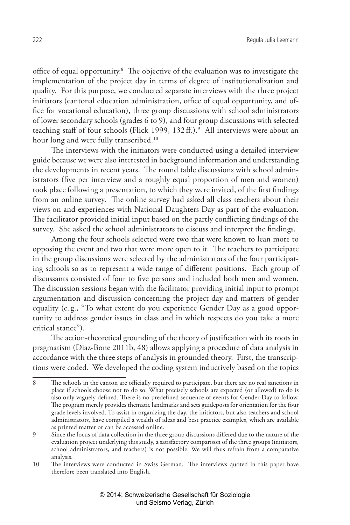office of equal opportunity.<sup>8</sup> The objective of the evaluation was to investigate the implementation of the project day in terms of degree of institutionalization and quality. For this purpose, we conducted separate interviews with the three project initiators (cantonal education administration, office of equal opportunity, and office for vocational education), three group discussions with school administrators of lower secondary schools (grades 6 to 9), and four group discussions with selected teaching staff of four schools (Flick 1999, 132ff.).<sup>9</sup> All interviews were about an hour long and were fully transcribed.<sup>10</sup>

The interviews with the initiators were conducted using a detailed interview guide because we were also interested in background information and understanding the developments in recent years. The round table discussions with school administrators (five per interview and a roughly equal proportion of men and women) took place following a presentation, to which they were invited, of the first findings from an online survey. The online survey had asked all class teachers about their views on and experiences with National Daughters Day as part of the evaluation. The facilitator provided initial input based on the partly conflicting findings of the survey. She asked the school administrators to discuss and interpret the findings.

Among the four schools selected were two that were known to lean more to opposing the event and two that were more open to it. The teachers to participate in the group discussions were selected by the administrators of the four participating schools so as to represent a wide range of different positions. Each group of discussants consisted of four to five persons and included both men and women. The discussion sessions began with the facilitator providing initial input to prompt argumentation and discussion concerning the project day and matters of gender equality (e. g., "To what extent do you experience Gender Day as a good opportunity to address gender issues in class and in which respects do you take a more critical stance").

The action-theoretical grounding of the theory of justification with its roots in pragmatism (Diaz-Bone 2011b, 48) allows applying a procedure of data analysis in accordance with the three steps of analysis in grounded theory. First, the transcriptions were coded. We developed the coding system inductively based on the topics

<sup>8</sup> The schools in the canton are officially required to participate, but there are no real sanctions in place if schools choose not to do so. What precisely schools are expected (or allowed) to do is also only vaguely defined. There is no predefined sequence of events for Gender Day to follow. The program merely provides thematic landmarks and sets guideposts for orientation for the four grade levels involved. To assist in organizing the day, the initiators, but also teachers and school administrators, have compiled a wealth of ideas and best practice examples, which are available as printed matter or can be accessed online.

<sup>9</sup> Since the focus of data collection in the three group discussions differed due to the nature of the evaluation project underlying this study, a satisfactory comparison of the three groups (initiators, school administrators, and teachers) is not possible. We will thus refrain from a comparative analysis.

<sup>10</sup> The interviews were conducted in Swiss German. The interviews quoted in this paper have therefore been translated into English.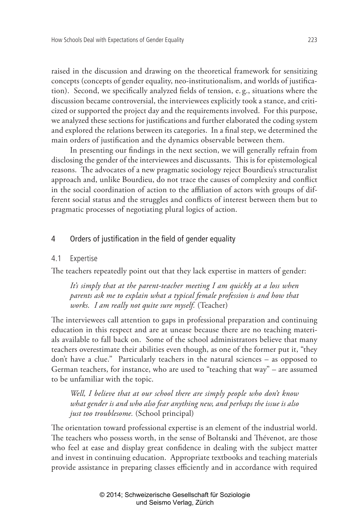raised in the discussion and drawing on the theoretical framework for sensitizing concepts (concepts of gender equality, neo-institutionalism, and worlds of justification). Second, we specifically analyzed fields of tension, e. g., situations where the discussion became controversial, the interviewees explicitly took a stance, and criticized or supported the project day and the requirements involved. For this purpose, we analyzed these sections for justifications and further elaborated the coding system and explored the relations between its categories. In a final step, we determined the main orders of justification and the dynamics observable between them.

In presenting our findings in the next section, we will generally refrain from disclosing the gender of the interviewees and discussants. This is for epistemological reasons. The advocates of a new pragmatic sociology reject Bourdieu's structuralist approach and, unlike Bourdieu, do not trace the causes of complexity and conflict in the social coordination of action to the affiliation of actors with groups of different social status and the struggles and conflicts of interest between them but to pragmatic processes of negotiating plural logics of action.

### 4 Orders of justification in the field of gender equality

### 4.1 Expertise

The teachers repeatedly point out that they lack expertise in matters of gender:

*It's simply that at the parent-teacher meeting I am quickly at a loss when parents ask me to explain what a typical female profession is and how that works. I am really not quite sure myself.* (Teacher)

The interviewees call attention to gaps in professional preparation and continuing education in this respect and are at unease because there are no teaching materials available to fall back on. Some of the school administrators believe that many teachers overestimate their abilities even though, as one of the former put it, "they don't have a clue." Particularly teachers in the natural sciences – as opposed to German teachers, for instance, who are used to "teaching that way" – are assumed to be unfamiliar with the topic.

*Well, I believe that at our school there are simply people who don't know what gender is and who also fear anything new, and perhaps the issue is also just too troublesome.* (School principal)

The orientation toward professional expertise is an element of the industrial world. The teachers who possess worth, in the sense of Boltanski and Thévenot, are those who feel at ease and display great confidence in dealing with the subject matter and invest in continuing education. Appropriate textbooks and teaching materials provide assistance in preparing classes efficiently and in accordance with required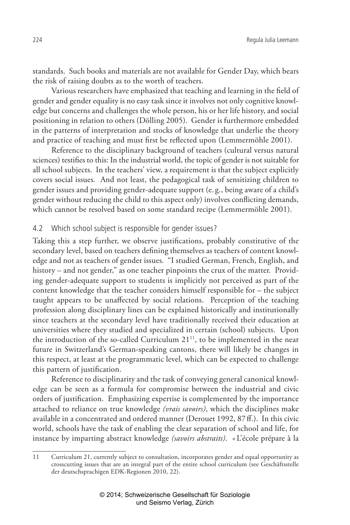standards. Such books and materials are not available for Gender Day, which bears the risk of raising doubts as to the worth of teachers.

Various researchers have emphasized that teaching and learning in the field of gender and gender equality is no easy task since it involves not only cognitive knowledge but concerns and challenges the whole person, his or her life history, and social positioning in relation to others (Dölling 2005). Gender is furthermore embedded in the patterns of interpretation and stocks of knowledge that underlie the theory and practice of teaching and must first be reflected upon (Lemmermöhle 2001).

Reference to the disciplinary background of teachers (cultural versus natural sciences) testifies to this: In the industrial world, the topic of gender is not suitable for all school subjects. In the teachers' view, a requirement is that the subject explicitly covers social issues. And not least, the pedagogical task of sensitizing children to gender issues and providing gender-adequate support (e. g., being aware of a child's gender without reducing the child to this aspect only) involves conflicting demands, which cannot be resolved based on some standard recipe (Lemmermöhle 2001).

## 4.2 Which school subject is responsible for gender issues?

Taking this a step further, we observe justifications, probably constitutive of the secondary level, based on teachers defining themselves as teachers of content knowledge and not as teachers of gender issues. "I studied German, French, English, and history – and not gender," as one teacher pinpoints the crux of the matter. Providing gender-adequate support to students is implicitly not perceived as part of the content knowledge that the teacher considers himself responsible for – the subject taught appears to be unaffected by social relations. Perception of the teaching profession along disciplinary lines can be explained historically and institutionally since teachers at the secondary level have traditionally received their education at universities where they studied and specialized in certain (school) subjects. Upon the introduction of the so-called Curriculum 21<sup>11</sup>, to be implemented in the near future in Switzerland's German-speaking cantons, there will likely be changes in this respect, at least at the programmatic level, which can be expected to challenge this pattern of justification.

Reference to disciplinarity and the task of conveying general canonical knowledge can be seen as a formula for compromise between the industrial and civic orders of justification. Emphasizing expertise is complemented by the importance attached to reliance on true knowledge *(vrais savoirs)*, which the disciplines make available in a concentrated and ordered manner (Derouet 1992, 87ff.). In this civic world, schools have the task of enabling the clear separation of school and life, for instance by imparting abstract knowledge *(savoirs abstraits)*. « L'école prépare à la

<sup>11</sup> Curriculum 21, currently subject to consultation, incorporates gender and equal opportunity as crosscutting issues that are an integral part of the entire school curriculum (see Geschäftsstelle der deutschsprachigen EDK-Regionen 2010, 22).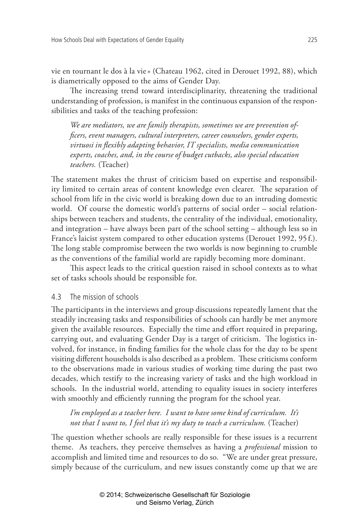vie en tournant le dos à la vie» (Chateau 1962, cited in Derouet 1992, 88), which is diametrically opposed to the aims of Gender Day.

The increasing trend toward interdisciplinarity, threatening the traditional understanding of profession, is manifest in the continuous expansion of the responsibilities and tasks of the teaching profession:

*We are mediators, we are family therapists, sometimes we are prevention officers, event managers, cultural interpreters, career counselors, gender experts, virtuosi in flexibly adapting behavior, IT specialists, media communication experts, coaches, and, in the course of budget cutbacks, also special education teachers.* (Teacher)

The statement makes the thrust of criticism based on expertise and responsibility limited to certain areas of content knowledge even clearer. The separation of school from life in the civic world is breaking down due to an intruding domestic world. Of course the domestic world's patterns of social order – social relationships between teachers and students, the centrality of the individual, emotionality, and integration – have always been part of the school setting – although less so in France's laicist system compared to other education systems (Derouet 1992, 95 f.). The long stable compromise between the two worlds is now beginning to crumble as the conventions of the familial world are rapidly becoming more dominant.

This aspect leads to the critical question raised in school contexts as to what set of tasks schools should be responsible for.

## 4.3 The mission of schools

The participants in the interviews and group discussions repeatedly lament that the steadily increasing tasks and responsibilities of schools can hardly be met anymore given the available resources. Especially the time and effort required in preparing, carrying out, and evaluating Gender Day is a target of criticism. The logistics involved, for instance, in finding families for the whole class for the day to be spent visiting different households is also described as a problem. These criticisms conform to the observations made in various studies of working time during the past two decades, which testify to the increasing variety of tasks and the high workload in schools. In the industrial world, attending to equality issues in society interferes with smoothly and efficiently running the program for the school year.

*I'm employed as a teacher here. I want to have some kind of curriculum. It's not that I want to, I feel that it's my duty to teach a curriculum.* (Teacher)

The question whether schools are really responsible for these issues is a recurrent theme. As teachers, they perceive themselves as having a *professional* mission to accomplish and limited time and resources to do so. "We are under great pressure, simply because of the curriculum, and new issues constantly come up that we are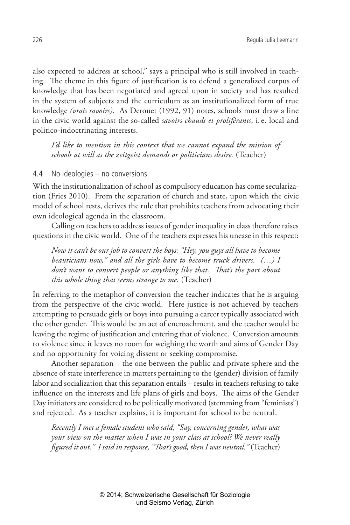also expected to address at school," says a principal who is still involved in teaching. The theme in this figure of justification is to defend a generalized corpus of knowledge that has been negotiated and agreed upon in society and has resulted in the system of subjects and the curriculum as an institutionalized form of true knowledge *(vrais savoirs)*. As Derouet (1992, 91) notes, schools must draw a line in the civic world against the so-called *savoirs chauds et proliférants*, i.e. local and politico-indoctrinating interests.

*I'd like to mention in this context that we cannot expand the mission of schools at will as the zeitgeist demands or politicians desire.* (Teacher)

#### 4.4 No ideologies – no conversions

With the institutionalization of school as compulsory education has come secularization (Fries 2010). From the separation of church and state, upon which the civic model of school rests, derives the rule that prohibits teachers from advocating their own ideological agenda in the classroom.

Calling on teachers to address issues of gender inequality in class therefore raises questions in the civic world. One of the teachers expresses his unease in this respect:

*Now it can't be our job to convert the boys: "Hey, you guys all have to become beauticians now," and all the girls have to become truck drivers. (…) I don't want to convert people or anything like that. That's the part about this whole thing that seems strange to me.* (Teacher)

In referring to the metaphor of conversion the teacher indicates that he is arguing from the perspective of the civic world. Here justice is not achieved by teachers attempting to persuade girls or boys into pursuing a career typically associated with the other gender. This would be an act of encroachment, and the teacher would be leaving the regime of justification and entering that of violence. Conversion amounts to violence since it leaves no room for weighing the worth and aims of Gender Day and no opportunity for voicing dissent or seeking compromise.

Another separation – the one between the public and private sphere and the absence of state interference in matters pertaining to the (gender) division of family labor and socialization that this separation entails – results in teachers refusing to take influence on the interests and life plans of girls and boys. The aims of the Gender Day initiators are considered to be politically motivated (stemming from "feminists") and rejected. As a teacher explains, it is important for school to be neutral.

*Recently I met a female student who said, "Say, concerning gender, what was your view on the matter when I was in your class at school? We never really figured it out." I said in response, "That's good, then I was neutral."* (Teacher)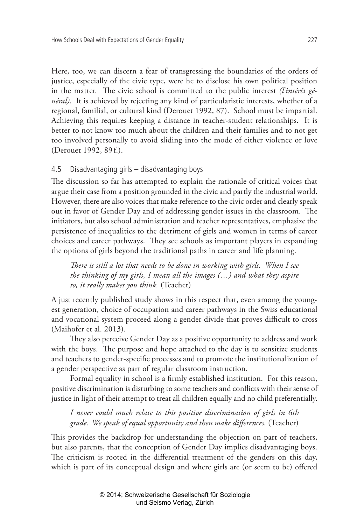Here, too, we can discern a fear of transgressing the boundaries of the orders of justice, especially of the civic type, were he to disclose his own political position in the matter. The civic school is committed to the public interest *(l'intérêt général)*. It is achieved by rejecting any kind of particularistic interests, whether of a regional, familial, or cultural kind (Derouet 1992, 87). School must be impartial. Achieving this requires keeping a distance in teacher-student relationships. It is better to not know too much about the children and their families and to not get too involved personally to avoid sliding into the mode of either violence or love (Derouet 1992, 89 f.).

# 4.5 Disadvantaging girls – disadvantaging boys

The discussion so far has attempted to explain the rationale of critical voices that argue their case from a position grounded in the civic and partly the industrial world. However, there are also voices that make reference to the civic order and clearly speak out in favor of Gender Day and of addressing gender issues in the classroom. The initiators, but also school administration and teacher representatives, emphasize the persistence of inequalities to the detriment of girls and women in terms of career choices and career pathways. They see schools as important players in expanding the options of girls beyond the traditional paths in career and life planning.

*There is still a lot that needs to be done in working with girls. When I see the thinking of my girls, I mean all the images (…) and what they aspire to, it really makes you think.* (Teacher)

A just recently published study shows in this respect that, even among the youngest generation, choice of occupation and career pathways in the Swiss educational and vocational system proceed along a gender divide that proves difficult to cross (Maihofer et al. 2013).

They also perceive Gender Day as a positive opportunity to address and work with the boys. The purpose and hope attached to the day is to sensitize students and teachers to gender-specific processes and to promote the institutionalization of a gender perspective as part of regular classroom instruction.

Formal equality in school is a firmly established institution. For this reason, positive discrimination is disturbing to some teachers and conflicts with their sense of justice in light of their attempt to treat all children equally and no child preferentially.

*I never could much relate to this positive discrimination of girls in 6th grade. We speak of equal opportunity and then make differences.* (Teacher)

This provides the backdrop for understanding the objection on part of teachers, but also parents, that the conception of Gender Day implies disadvantaging boys. The criticism is rooted in the differential treatment of the genders on this day, which is part of its conceptual design and where girls are (or seem to be) offered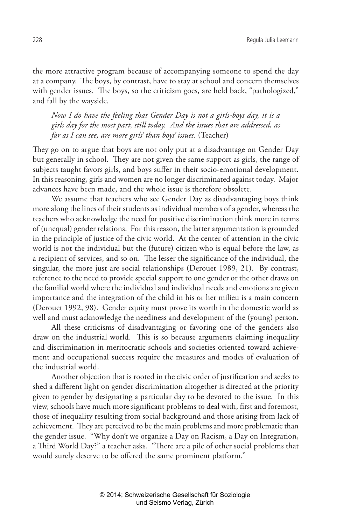the more attractive program because of accompanying someone to spend the day at a company. The boys, by contrast, have to stay at school and concern themselves with gender issues. The boys, so the criticism goes, are held back, "pathologized," and fall by the wayside.

*Now I do have the feeling that Gender Day is not a girls-boys day, it is a girls day for the most part, still today. And the issues that are addressed, as far as I can see, are more girls' than boys' issues.* (Teacher)

They go on to argue that boys are not only put at a disadvantage on Gender Day but generally in school. They are not given the same support as girls, the range of subjects taught favors girls, and boys suffer in their socio-emotional development. In this reasoning, girls and women are no longer discriminated against today. Major advances have been made, and the whole issue is therefore obsolete.

We assume that teachers who see Gender Day as disadvantaging boys think more along the lines of their students as individual members of a gender, whereas the teachers who acknowledge the need for positive discrimination think more in terms of (unequal) gender relations. For this reason, the latter argumentation is grounded in the principle of justice of the civic world. At the center of attention in the civic world is not the individual but the (future) citizen who is equal before the law, as a recipient of services, and so on. The lesser the significance of the individual, the singular, the more just are social relationships (Derouet 1989, 21). By contrast, reference to the need to provide special support to one gender or the other draws on the familial world where the individual and individual needs and emotions are given importance and the integration of the child in his or her milieu is a main concern (Derouet 1992, 98). Gender equity must prove its worth in the domestic world as well and must acknowledge the neediness and development of the (young) person.

All these criticisms of disadvantaging or favoring one of the genders also draw on the industrial world. This is so because arguments claiming inequality and discrimination in meritocratic schools and societies oriented toward achievement and occupational success require the measures and modes of evaluation of the industrial world.

Another objection that is rooted in the civic order of justification and seeks to shed a different light on gender discrimination altogether is directed at the priority given to gender by designating a particular day to be devoted to the issue. In this view, schools have much more significant problems to deal with, first and foremost, those of inequality resulting from social background and those arising from lack of achievement. They are perceived to be the main problems and more problematic than the gender issue. "Why don't we organize a Day on Racism, a Day on Integration, a Third World Day?" a teacher asks. "There are a pile of other social problems that would surely deserve to be offered the same prominent platform."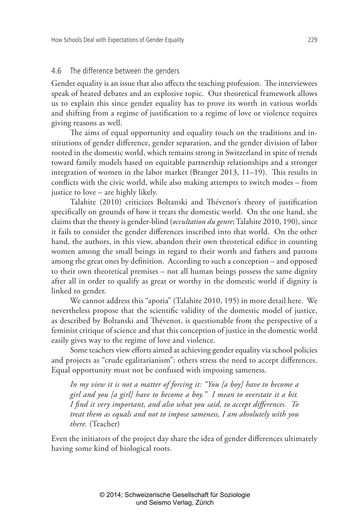### 4.6 The difference between the genders

Gender equality is an issue that also affects the teaching profession. The interviewees speak of heated debates and an explosive topic. Our theoretical framework allows us to explain this since gender equality has to prove its worth in various worlds and shifting from a regime of justification to a regime of love or violence requires giving reasons as well.

The aims of equal opportunity and equality touch on the traditions and institutions of gender difference, gender separation, and the gender division of labor rooted in the domestic world, which remains strong in Switzerland in spite of trends toward family models based on equitable partnership relationships and a stronger integration of women in the labor market (Branger 2013, 11–19). This results in conflicts with the civic world, while also making attempts to switch modes – from justice to love – are highly likely.

Talahite (2010) criticizes Boltanski and Thévenot's theory of justification specifically on grounds of how it treats the domestic world. On the one hand, she claims that the theory is gender-blind (*occultation du genre*; Talahite 2010, 190), since it fails to consider the gender differences inscribed into that world. On the other hand, the authors, in this view, abandon their own theoretical edifice in counting women among the small beings in regard to their worth and fathers and patrons among the great ones by definition. According to such a conception – and opposed to their own theoretical premises – not all human beings possess the same dignity after all in order to qualify as great or worthy in the domestic world if dignity is linked to gender.

We cannot address this "aporia" (Talahite 2010, 195) in more detail here. We nevertheless propose that the scientific validity of the domestic model of justice, as described by Boltanski and Thévenot, is questionable from the perspective of a feminist critique of science and that this conception of justice in the domestic world easily gives way to the regime of love and violence.

Some teachers view efforts aimed at achieving gender equality via school policies and projects as "crude egalitarianism"; others stress the need to accept differences. Equal opportunity must not be confused with imposing sameness.

*In my view it is not a matter of forcing it: "You [a boy] have to become a girl and you [a girl] have to become a boy." I mean to overstate it a bit. I find it very important, and also what you said, to accept differences. To treat them as equals and not to impose sameness, I am absolutely with you there.* (Teacher)

Even the initiators of the project day share the idea of gender differences ultimately having some kind of biological roots.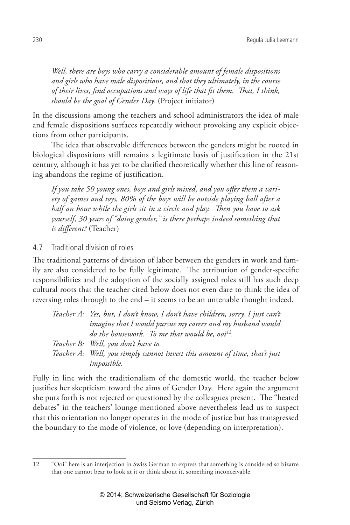*Well, there are boys who carry a considerable amount of female dispositions and girls who have male dispositions, and that they ultimately, in the course of their lives, find occupations and ways of life that fit them. That, I think, should be the goal of Gender Day.* (Project initiator)

In the discussions among the teachers and school administrators the idea of male and female dispositions surfaces repeatedly without provoking any explicit objections from other participants.

The idea that observable differences between the genders might be rooted in biological dispositions still remains a legitimate basis of justification in the 21st century, although it has yet to be clarified theoretically whether this line of reasoning abandons the regime of justification.

*If you take 50 young ones, boys and girls mixed, and you offer them a variety of games and toys, 80% of the boys will be outside playing ball after a half an hour while the girls sit in a circle and play. Then you have to ask yourself, 30 years of "doing gender," is there perhaps indeed something that is different?* (Teacher)

# 4.7 Traditional division of roles

The traditional patterns of division of labor between the genders in work and family are also considered to be fully legitimate. The attribution of gender-specific responsibilities and the adoption of the socially assigned roles still has such deep cultural roots that the teacher cited below does not even dare to think the idea of reversing roles through to the end – it seems to be an untenable thought indeed.

| Teacher A: Yes, but, I don't know, I don't have children, sorry, I just can't |
|-------------------------------------------------------------------------------|
| imagine that I would pursue my career and my husband would                    |
| do the housework. To me that would be, ooi <sup>12</sup> .                    |
| Teacher B: Well, you don't have to.                                           |
| Teacher A: Well, you simply cannot invest this amount of time, that's just    |
| <i>impossible.</i>                                                            |

Fully in line with the traditionalism of the domestic world, the teacher below justifies her skepticism toward the aims of Gender Day. Here again the argument she puts forth is not rejected or questioned by the colleagues present. The "heated debates" in the teachers' lounge mentioned above nevertheless lead us to suspect that this orientation no longer operates in the mode of justice but has transgressed the boundary to the mode of violence, or love (depending on interpretation).

<sup>12</sup> "Ooi" here is an interjection in Swiss German to express that something is considered so bizarre that one cannot bear to look at it or think about it, something inconceivable.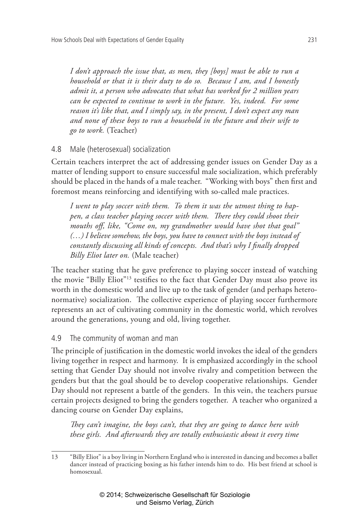*I don't approach the issue that, as men, they [boys] must be able to run a household or that it is their duty to do so. Because I am, and I honestly admit it, a person who advocates that what has worked for 2 million years can be expected to continue to work in the future. Yes, indeed. For some reason it's like that, and I simply say, in the present, I don't expect any man and none of these boys to run a household in the future and their wife to go to work.* (Teacher)

# 4.8 Male (heterosexual) socialization

Certain teachers interpret the act of addressing gender issues on Gender Day as a matter of lending support to ensure successful male socialization, which preferably should be placed in the hands of a male teacher. "Working with boys" then first and foremost means reinforcing and identifying with so-called male practices.

*I went to play soccer with them. To them it was the utmost thing to happen, a class teacher playing soccer with them. There they could shoot their mouths off, like, "Come on, my grandmother would have shot that goal" (…) I believe somehow, the boys, you have to connect with the boys instead of constantly discussing all kinds of concepts. And that's why I finally dropped Billy Eliot later on.* (Male teacher)

The teacher stating that he gave preference to playing soccer instead of watching the movie "Billy Eliot"13 testifies to the fact that Gender Day must also prove its worth in the domestic world and live up to the task of gender (and perhaps heteronormative) socialization. The collective experience of playing soccer furthermore represents an act of cultivating community in the domestic world, which revolves around the generations, young and old, living together.

# 4.9 The community of woman and man

The principle of justification in the domestic world invokes the ideal of the genders living together in respect and harmony. It is emphasized accordingly in the school setting that Gender Day should not involve rivalry and competition between the genders but that the goal should be to develop cooperative relationships. Gender Day should not represent a battle of the genders. In this vein, the teachers pursue certain projects designed to bring the genders together. A teacher who organized a dancing course on Gender Day explains,

*They can't imagine, the boys can't, that they are going to dance here with these girls. And afterwards they are totally enthusiastic about it every time* 

<sup>13</sup> "Billy Eliot" is a boy living in Northern England who is interested in dancing and becomes a ballet dancer instead of practicing boxing as his father intends him to do. His best friend at school is homosexual.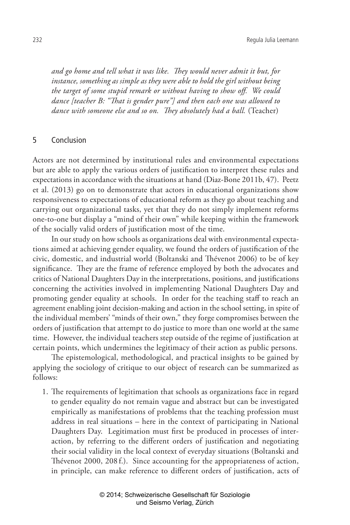*and go home and tell what it was like. They would never admit it but, for instance, something as simple as they were able to hold the girl without being the target of some stupid remark or without having to show off. We could dance [teacher B: "That is gender pure"] and then each one was allowed to*  dance with someone else and so on. They absolutely had a ball. (Teacher)

## 5 Conclusion

Actors are not determined by institutional rules and environmental expectations but are able to apply the various orders of justification to interpret these rules and expectations in accordance with the situations at hand (Diaz-Bone 2011b, 47). Peetz et al. (2013) go on to demonstrate that actors in educational organizations show responsiveness to expectations of educational reform as they go about teaching and carrying out organizational tasks, yet that they do not simply implement reforms one-to-one but display a "mind of their own" while keeping within the framework of the socially valid orders of justification most of the time.

In our study on how schools as organizations deal with environmental expectations aimed at achieving gender equality, we found the orders of justification of the civic, domestic, and industrial world (Boltanski and Thévenot 2006) to be of key significance. They are the frame of reference employed by both the advocates and critics of National Daughters Day in the interpretations, positions, and justifications concerning the activities involved in implementing National Daughters Day and promoting gender equality at schools. In order for the teaching staff to reach an agreement enabling joint decision-making and action in the school setting, in spite of the individual members' "minds of their own," they forge compromises between the orders of justification that attempt to do justice to more than one world at the same time. However, the individual teachers step outside of the regime of justification at certain points, which undermines the legitimacy of their action as public persons.

The epistemological, methodological, and practical insights to be gained by applying the sociology of critique to our object of research can be summarized as follows:

1. The requirements of legitimation that schools as organizations face in regard to gender equality do not remain vague and abstract but can be investigated empirically as manifestations of problems that the teaching profession must address in real situations – here in the context of participating in National Daughters Day. Legitimation must first be produced in processes of interaction, by referring to the different orders of justification and negotiating their social validity in the local context of everyday situations (Boltanski and Thévenot 2000, 208 f.). Since accounting for the appropriateness of action, in principle, can make reference to different orders of justification, acts of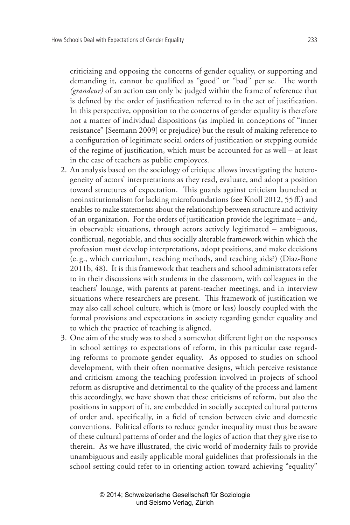criticizing and opposing the concerns of gender equality, or supporting and demanding it, cannot be qualified as "good" or "bad" per se. The worth *(grandeur)* of an action can only be judged within the frame of reference that is defined by the order of justification referred to in the act of justification. In this perspective, opposition to the concerns of gender equality is therefore not a matter of individual dispositions (as implied in conceptions of "inner resistance" [Seemann 2009] or prejudice) but the result of making reference to a configuration of legitimate social orders of justification or stepping outside of the regime of justification, which must be accounted for as well – at least in the case of teachers as public employees.

- 2. An analysis based on the sociology of critique allows investigating the heterogeneity of actors' interpretations as they read, evaluate, and adopt a position toward structures of expectation. This guards against criticism launched at neoinstitutionalism for lacking microfoundations (see Knoll 2012, 55ff.) and enables to make statements about the relationship between structure and activity of an organization. For the orders of justification provide the legitimate – and, in observable situations, through actors actively legitimated – ambiguous, conflictual, negotiable, and thus socially alterable framework within which the profession must develop interpretations, adopt positions, and make decisions (e. g., which curriculum, teaching methods, and teaching aids?) (Diaz-Bone 2011b, 48). It is this framework that teachers and school administrators refer to in their discussions with students in the classroom, with colleagues in the teachers' lounge, with parents at parent-teacher meetings, and in interview situations where researchers are present. This framework of justification we may also call school culture, which is (more or less) loosely coupled with the formal provisions and expectations in society regarding gender equality and to which the practice of teaching is aligned.
- 3. One aim of the study was to shed a somewhat different light on the responses in school settings to expectations of reform, in this particular case regarding reforms to promote gender equality. As opposed to studies on school development, with their often normative designs, which perceive resistance and criticism among the teaching profession involved in projects of school reform as disruptive and detrimental to the quality of the process and lament this accordingly, we have shown that these criticisms of reform, but also the positions in support of it, are embedded in socially accepted cultural patterns of order and, specifically, in a field of tension between civic and domestic conventions. Political efforts to reduce gender inequality must thus be aware of these cultural patterns of order and the logics of action that they give rise to therein. As we have illustrated, the civic world of modernity fails to provide unambiguous and easily applicable moral guidelines that professionals in the school setting could refer to in orienting action toward achieving "equality"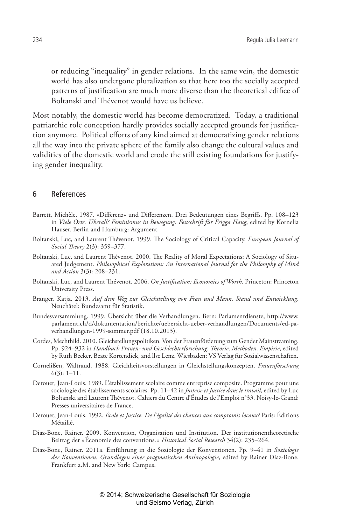or reducing "inequality" in gender relations. In the same vein, the domestic world has also undergone pluralization so that here too the socially accepted patterns of justification are much more diverse than the theoretical edifice of Boltanski and Thévenot would have us believe.

Most notably, the domestic world has become democratized. Today, a traditional patriarchic role conception hardly provides socially accepted grounds for justification anymore. Political efforts of any kind aimed at democratizing gender relations all the way into the private sphere of the family also change the cultural values and validities of the domestic world and erode the still existing foundations for justifying gender inequality.

#### 6 References

- Barrett, Michèle. 1987. «Differenz» und Differenzen. Drei Bedeutungen eines Begriffs. Pp. 108–123 in *Viele Orte. Überall? Feminismus in Bewegung. Festschrift für Frigga Haug*, edited by Kornelia Hauser. Berlin and Hamburg: Argument.
- Boltanski, Luc, and Laurent Thévenot. 1999. The Sociology of Critical Capacity. *European Journal of Social Theory* 2(3): 359–377.
- Boltanski, Luc, and Laurent Thévenot. 2000. The Reality of Moral Expectations: A Sociology of Situated Judgement. *Philosophical Explorations: An International Journal for the Philosophy of Mind and Action* 3(3): 208–231.
- Boltanski, Luc, and Laurent Thévenot. 2006. *On Justification: Economies of Worth*. Princeton: Princeton University Press.
- Branger, Katja. 2013. *Auf dem Weg zur Gleichstellung von Frau und Mann. Stand und Entwicklung*. Neuchâtel: Bundesamt für Statistik.
- Bundesversammlung. 1999. Übersicht über die Verhandlungen. Bern: Parlamentdienste, http://www. parlament.ch/d/dokumentation/berichte/uebersicht-ueber-verhandlungen/Documents/ed-paverhandlungen-1999-sommer.pdf (18.10.2013).
- Cordes, Mechthild. 2010. Gleichstellungspolitiken. Von der Frauenförderung zum Gender Mainstreaming. Pp. 924–932 in *Handbuch Frauen- und Geschlechterforschung. Theorie, Methoden, Empirie*, edited by Ruth Becker, Beate Kortendiek, and llse Lenz. Wiesbaden: VS Verlag für Sozialwissenschaften.
- Cornelißen, Waltraud. 1988. Gleichheitsvorstellungen in Gleichstellungskonzepten. *Frauenforschung* 6(3): 1–11.
- Derouet, Jean-Louis. 1989. L'établissement scolaire comme entreprise composite. Programme pour une sociologie des établissements scolaires. Pp. 11–42 in *Justesse et Justice dans le travail*, edited by Luc Boltanski and Laurent Thévenot. Cahiers du Centre d'Études de l'Emploi n°33. Noisy-le-Grand: Presses universitaires de France.
- Derouet, Jean-Louis. 1992. *École et Justice. De l'égalité des chances aux compromis locaux?* Paris: Éditions Métailié.
- Diaz-Bone, Rainer. 2009. Konvention, Organisation und Institution. Der institutionentheoretische Beitrag der «Économie des conventions.» *Historical Social Research* 34(2): 235–264.
- Diaz-Bone, Rainer. 2011a. Einführung in die Soziologie der Konventionen. Pp. 9–41 in *Soziologie der Konventionen. Grundlagen einer pragmatischen Anthropologie*, edited by Rainer Diaz-Bone. Frankfurt a.M. and New York: Campus.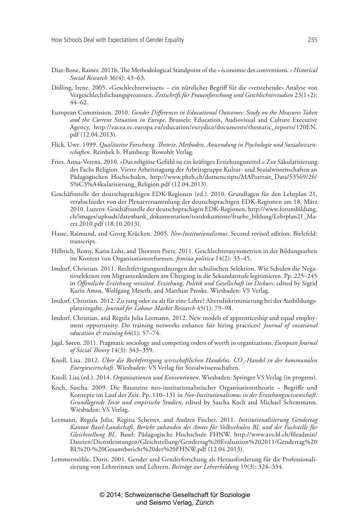- Diaz-Bone, Rainer. 2011b. The Methodological Standpoint of the «économie des conventions.» *Historical Social Research* 36(4): 43–63.
- Dölling, Irene. 2005. «Geschlechterwissen» ein nützlicher Begriff für die «verstehende» Analyse von Vergeschlechtlichungsprozessen. *Zeitschrift für Frauenforschung und Geschlechterstudien* 23(1+2): 44–62.
- European Commission. 2010. *Gender Differences in Educational Outcomes: Study on the Measures Taken and the Current Situation in Europe*. Brussels: Education, Audiovisual and Culture Executive Agency, http://eacea.ec.europa.eu/education/eurydice/documents/thematic\_reports/120EN. pdf (12.04.2013).
- Flick, Uwe. 1999. *Qualitative Forschung. Theorie, Methoden, Anwendung in Psychologie und Sozialwissenschaften*. Reinbek b. Hamburg: Rowohlt Verlag.
- Fries, Anna-Verena. 2010. «Das religiöse Gefühl ist ein kräftiges Erziehungsmittel.» Zur Säkularisierung des Fachs Religion. Vierte Arbeitstagung der Arbeitsgruppe Kultur- und Sozialwissenschaften an Pädagogischen Hochschulen, http://www.phzh.ch/dotnetscripts/MAPortrait\_Data/53569/26/ S%C3%A4kularisierung\_Religion.pdf (12.04.2013).
- Geschäftsstelle der deutschsprachigen EDK-Regionen (ed.). 2010. Grundlagen für den Lehrplan 21, verabschiedet von der Plenarversammlung der deutschsprachigen EDK-Regionen am 18. März 2010. Luzern: Geschäftsstelle der deutschsprachigen EDK-Regionen, http://www.forumbildung. ch/images/uploads/datenbank\_dokumentation/textdokumente/fruehe\_bildung/Lehrplan21\_Maerz.2010.pdf (18.10.2013).
- Hasse, Raimund, and Georg Krücken. 2005. *Neo-Institutionalismus*. Second revised edition. Bielefeld: transcript.
- Hilbrich, Romy, Karin Lohr, and Thorsten Peetz. 2011. Geschlechterasymmetrien in der Bildungsarbeit im Kontext von Organisationsreformen. *femina politica* 14(2): 33–45.
- Imdorf, Christian. 2011. Rechtfertigungsordnungen der schulischen Selektion. Wie Schulen die Negativselektion von Migrantenkindern am Übergang in die Sekundarstufe legitimieren. Pp. 225–245 in *Öffentliche Erziehung revisited. Erziehung, Politik und Gesellschaft im Diskurs*, edited by Sigrid Karin Amos, Wolfgang Meseth, and Matthias Proske. Wiesbaden: VS Verlag.
- Imdorf, Christian. 2012. Zu jung oder zu alt für eine Lehre? Altersdiskriminierung bei der Ausbildungsplatzvergabe. *Journal for Labour Market Research* 45(1): 79–98.
- Imdorf, Christian, and Regula Julia Leemann. 2012. New models of apprenticeship and equal employment opportunity. Do training networks enhance fair hiring practices? *Journal of vocational education & training* 64(1): 57–74.
- Jagd, Søren. 2011. Pragmatic sociology and competing orders of worth in organizations. *European Journal of Social Theory* 14(3): 343–359.
- Knoll, Lisa. 2012. *Über die Rechtfertigung wirtschaftlichen Handelns. CO<sub>2</sub>-Handel in der kommunalen Energiewirtschaft*. Wiesbaden: VS Verlag für Sozialwissenschaften.
- Knoll, Lisa (ed.). 2014. *Organisationen und Konventionen*. Wiesbaden: Springer VS Verlag (in progress).
- Koch, Sascha. 2009. Die Bausteine neo-institutionalistischer Organisationstheorie Begriffe und Konzepte im Lauf der Zeit. Pp. 110–131 in *Neo-Institutionalismus in der Erziehungswissenschaft. Grundlegende Texte und empirische Studien*, edited by Sascha Koch and Michael Schemmann. Wiesbaden: VS Verlag.
- Leemann, Regula Julia, Regina Scherrer, and Andrea Fischer. 2011. *Institutionalisierung Gendertag Kanton Basel-Landschaft. Bericht zuhanden des Amtes für Volksschulen BL und der Fachstelle für Gleichstellung BL*. Basel: Pädagogische Hochschule FHNW, http://www.avs.bl.ch/fileadmin/ Dateien/Dienstleistungen/Gleichstellung/Gendertag%20Evaluation%202011/Gendertag%20 BL%20-%20Gesamtbericht%20der%20FHNW.pdf (12.04.2013).
- Lemmermöhle, Doris. 2001. Gender und Genderforschung als Herausforderung für die Professionalisierung von Lehrerinnen und Lehrern. *Beiträge zur Lehrerbildung* 19(3): 324–334.